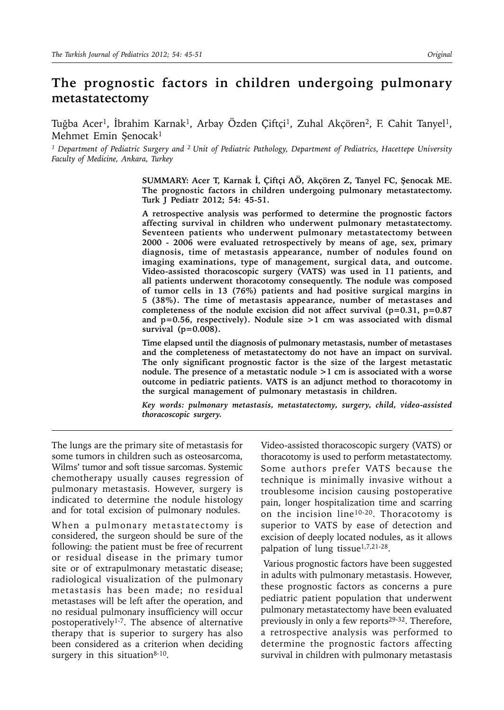# **The prognostic factors in children undergoing pulmonary metastatectomy**

Tuğba Acer<sup>1</sup>, İbrahim Karnak<sup>1</sup>, Arbay Özden Çiftçi<sup>1</sup>, Zuhal Akçören<sup>2</sup>, F. Cahit Tanyel<sup>1</sup>, Mehmet Emin Şenocak<sup>1</sup>

*1 Department of Pediatric Surgery and 2 Unit of Pediatric Pathology, Department of Pediatrics, Hacettepe University Faculty of Medicine, Ankara, Turkey*

> **SUMMARY: Acer T, Karnak İ, Çiftçi AÖ, Akçören Z, Tanyel FC, Şenocak ME. The prognostic factors in children undergoing pulmonary metastatectomy. Turk J Pediatr 2012; 54: 45-51.**

> **A retrospective analysis was performed to determine the prognostic factors affecting survival in children who underwent pulmonary metastatectomy. Seventeen patients who underwent pulmonary metastatectomy between 2000 - 2006 were evaluated retrospectively by means of age, sex, primary diagnosis, time of metastasis appearance, number of nodules found on imaging examinations, type of management, surgical data, and outcome. Video-assisted thoracoscopic surgery (VATS) was used in 11 patients, and all patients underwent thoracotomy consequently. The nodule was composed of tumor cells in 13 (76%) patients and had positive surgical margins in 5 (38%). The time of metastasis appearance, number of metastases and completeness of the nodule excision did not affect survival (p=0.31, p=0.87 and p=0.56, respectively). Nodule size >1 cm was associated with dismal survival (p=0.008).**

> **Time elapsed until the diagnosis of pulmonary metastasis, number of metastases and the completeness of metastatectomy do not have an impact on survival. The only significant prognostic factor is the size of the largest metastatic nodule. The presence of a metastatic nodule >1 cm is associated with a worse outcome in pediatric patients. VATS is an adjunct method to thoracotomy in the surgical management of pulmonary metastasis in children.**

> *Key words: pulmonary metastasis, metastatectomy, surgery, child, video-assisted thoracoscopic surgery.*

The lungs are the primary site of metastasis for some tumors in children such as osteosarcoma, Wilms' tumor and soft tissue sarcomas. Systemic chemotherapy usually causes regression of pulmonary metastasis. However, surgery is indicated to determine the nodule histology and for total excision of pulmonary nodules.

When a pulmonary metastatectomy is considered, the surgeon should be sure of the following: the patient must be free of recurrent or residual disease in the primary tumor site or of extrapulmonary metastatic disease; radiological visualization of the pulmonary metastasis has been made; no residual metastases will be left after the operation, and no residual pulmonary insufficiency will occur postoperatively1-7. The absence of alternative therapy that is superior to surgery has also been considered as a criterion when deciding surgery in this situation $8-10$ .

Video-assisted thoracoscopic surgery (VATS) or thoracotomy is used to perform metastatectomy. Some authors prefer VATS because the technique is minimally invasive without a troublesome incision causing postoperative pain, longer hospitalization time and scarring on the incision line10-20. Thoracotomy is superior to VATS by ease of detection and excision of deeply located nodules, as it allows palpation of lung tissue<sup>1,7,21-28</sup>.

 Various prognostic factors have been suggested in adults with pulmonary metastasis. However, these prognostic factors as concerns a pure pediatric patient population that underwent pulmonary metastatectomy have been evaluated previously in only a few reports<sup>29-32</sup>. Therefore, a retrospective analysis was performed to determine the prognostic factors affecting survival in children with pulmonary metastasis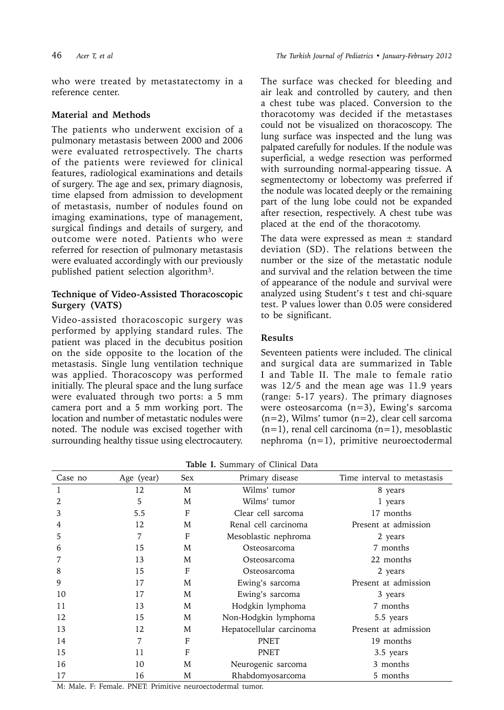who were treated by metastatectomy in a reference center.

#### **Material and Methods**

The patients who underwent excision of a pulmonary metastasis between 2000 and 2006 were evaluated retrospectively. The charts of the patients were reviewed for clinical features, radiological examinations and details of surgery. The age and sex, primary diagnosis, time elapsed from admission to development of metastasis, number of nodules found on imaging examinations, type of management, surgical findings and details of surgery, and outcome were noted. Patients who were referred for resection of pulmonary metastasis were evaluated accordingly with our previously published patient selection algorithm3.

### **Technique of Video-Assisted Thoracoscopic Surgery (VATS)**

Video-assisted thoracoscopic surgery was performed by applying standard rules. The patient was placed in the decubitus position on the side opposite to the location of the metastasis. Single lung ventilation technique was applied. Thoracoscopy was performed initially. The pleural space and the lung surface were evaluated through two ports: a 5 mm camera port and a 5 mm working port. The location and number of metastatic nodules were noted. The nodule was excised together with surrounding healthy tissue using electrocautery.

The surface was checked for bleeding and air leak and controlled by cautery, and then a chest tube was placed. Conversion to the thoracotomy was decided if the metastases could not be visualized on thoracoscopy. The lung surface was inspected and the lung was palpated carefully for nodules. If the nodule was superficial, a wedge resection was performed with surrounding normal-appearing tissue. A segmentectomy or lobectomy was preferred if the nodule was located deeply or the remaining part of the lung lobe could not be expanded after resection, respectively. A chest tube was placed at the end of the thoracotomy.

The data were expressed as mean  $\pm$  standard deviation (SD). The relations between the number or the size of the metastatic nodule and survival and the relation between the time of appearance of the nodule and survival were analyzed using Student's t test and chi-square test. P values lower than 0.05 were considered to be significant.

### **Results**

Seventeen patients were included. The clinical and surgical data are summarized in Table I and Table II. The male to female ratio was 12/5 and the mean age was 11.9 years (range: 5-17 years). The primary diagnoses were osteosarcoma (n=3), Ewing's sarcoma  $(n=2)$ , Wilms' tumor  $(n=2)$ , clear cell sarcoma  $(n=1)$ , renal cell carcinoma  $(n=1)$ , mesoblastic nephroma (n=1), primitive neuroectodermal

| Table I. Summary of Clinical Data |  |
|-----------------------------------|--|
|-----------------------------------|--|

| Case no | Age (year) | <b>Sex</b> | Primary disease          | Time interval to metastasis |  |
|---------|------------|------------|--------------------------|-----------------------------|--|
| 1       | 12         | M          | Wilms' tumor             | 8 years                     |  |
| 2       | 5          | M          | Wilms' tumor             | 1 years                     |  |
| 3       | 5.5        | F          | Clear cell sarcoma       | 17 months                   |  |
| 4       | 12         | M          | Renal cell carcinoma     | Present at admission        |  |
| 5       | 7          | F          | Mesoblastic nephroma     | 2 years                     |  |
| 6       | 15         | M          | Osteosarcoma             | 7 months                    |  |
|         | 13         | M          | Osteosarcoma             | 22 months                   |  |
| 8       | 15         | F          | Osteosarcoma             | 2 years                     |  |
| 9       | 17         | M          | Ewing's sarcoma          | Present at admission        |  |
| 10      | 17         | M          | Ewing's sarcoma          | 3 years                     |  |
| 11      | 13         | M          | Hodgkin lymphoma         | 7 months                    |  |
| 12      | 15         | M          | Non-Hodgkin lymphoma     | 5.5 years                   |  |
| 13      | 12         | M          | Hepatocellular carcinoma | Present at admission        |  |
| 14      | 7          | F          | <b>PNET</b>              | 19 months                   |  |
| 15      | 11         | F          | <b>PNET</b>              | 3.5 years                   |  |
| 16      | 10         | M          | Neurogenic sarcoma       | 3 months                    |  |
| 17      | 16         | M          | Rhabdomyosarcoma         | 5 months                    |  |

M: Male. F: Female. PNET: Primitive neuroectodermal tumor.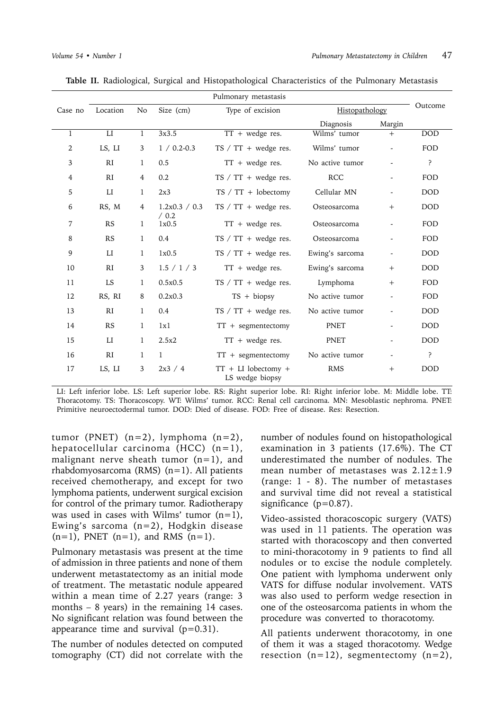| Pulmonary metastasis |                        |                |                  |                                          |                 |                          |            |
|----------------------|------------------------|----------------|------------------|------------------------------------------|-----------------|--------------------------|------------|
| Case no              | Location               | No             | Size (cm)        | Type of excision                         | Histopathology  |                          | Outcome    |
|                      |                        |                |                  |                                          | Diagnosis       | Margin                   |            |
| 1                    | $_{\rm LI}$            | 1              | 3x3.5            | $TT + wedge$ res.                        | Wilms' tumor    | $+$                      | <b>DOD</b> |
| $\overline{2}$       | LS, LI                 | 3              | $1 / 0.2 - 0.3$  | TS $/$ TT + wedge res.                   | Wilms' tumor    |                          | FOD        |
| 3                    | <b>RI</b>              | 1              | 0.5              | $TT + wedge$ res.                        | No active tumor |                          | ?          |
| 4                    | RI                     | $\overline{4}$ | 0.2              | $TS / TT + wedge$ res.                   | RCC             |                          | FOD        |
| 5                    | $_{\rm LI}$            | 1              | 2x3              | $TS / TT + lobectomy$                    | Cellular MN     | $\overline{\phantom{a}}$ | <b>DOD</b> |
| 6                    | RS, M                  | $\overline{4}$ | 1.2x0.3 / 0.3    | $TS / TT + wedge res.$                   | Osteosarcoma    | $+$                      | <b>DOD</b> |
| 7                    | <b>RS</b>              | 1              | $/$ 0.2<br>1x0.5 | $TT + wedge$ res.                        | Osteosarcoma    | $\overline{\phantom{0}}$ | FOD        |
| 8                    | RS                     | 1              | 0.4              | $TS / TT + wedge res.$                   | Osteosarcoma    | $\overline{\phantom{a}}$ | FOD        |
| 9                    | $_{\rm LI}$            | 1              | 1x0.5            | $TS / TT + wedge res.$                   | Ewing's sarcoma | $\overline{\phantom{a}}$ | <b>DOD</b> |
| 10                   | RI                     | 3              | 1.5 / 1 / 3      | $TT + wedge$ res.                        | Ewing's sarcoma | $+$                      | <b>DOD</b> |
| 11                   | <b>LS</b>              | 1              | 0.5x0.5          | TS $/$ TT + wedge res.                   | Lymphoma        | $+$                      | FOD        |
| 12                   | RS, RI                 | 8              | 0.2x0.3          | $TS + biopy$                             | No active tumor | $\overline{\phantom{a}}$ | FOD        |
| 13                   | RI                     | 1              | 0.4              | $TS / TT + wedge$ res.                   | No active tumor |                          | <b>DOD</b> |
| 14                   | <b>RS</b>              | 1              | 1x1              | $TT + segmentectomy$                     | PNET            |                          | <b>DOD</b> |
| 15                   | $\mathop{\mathrm{LI}}$ | 1              | 2.5x2            | $TT + wedge$ res.                        | PNET            | $\overline{\phantom{a}}$ | <b>DOD</b> |
| 16                   | RI                     | 1              | 1                | $TT + segmentectomy$                     | No active tumor | $\overline{\phantom{a}}$ | ?          |
| 17                   | LS, LI                 | 3              | 2x3 / 4          | $TT + LI$ lobectomy +<br>LS wedge biopsy | <b>RMS</b>      | $+$                      | <b>DOD</b> |

**Table II.** Radiological, Surgical and Histopathological Characteristics of the Pulmonary Metastasis

LI: Left inferior lobe. LS: Left superior lobe. RS: Right superior lobe. RI: Right inferior lobe. M: Middle lobe. TT: Thoracotomy. TS: Thoracoscopy. WT: Wilms' tumor. RCC: Renal cell carcinoma. MN: Mesoblastic nephroma. PNET: Primitive neuroectodermal tumor. DOD: Died of disease. FOD: Free of disease. Res: Resection.

tumor (PNET)  $(n=2)$ , lymphoma  $(n=2)$ , hepatocellular carcinoma  $(HCC)$  (n=1), malignant nerve sheath tumor  $(n=1)$ , and rhabdomyosarcoma (RMS)  $(n=1)$ . All patients received chemotherapy, and except for two lymphoma patients, underwent surgical excision for control of the primary tumor. Radiotherapy was used in cases with Wilms' tumor  $(n=1)$ , Ewing's sarcoma (n=2), Hodgkin disease  $(n=1)$ , PNET  $(n=1)$ , and RMS  $(n=1)$ .

Pulmonary metastasis was present at the time of admission in three patients and none of them underwent metastatectomy as an initial mode of treatment. The metastatic nodule appeared within a mean time of 2.27 years (range: 3 months – 8 years) in the remaining 14 cases. No significant relation was found between the appearance time and survival  $(p=0.31)$ .

The number of nodules detected on computed tomography (CT) did not correlate with the

number of nodules found on histopathological examination in 3 patients (17.6%). The CT underestimated the number of nodules. The mean number of metastases was  $2.12 \pm 1.9$ (range: 1 - 8). The number of metastases and survival time did not reveal a statistical significance (p=0.87).

Video-assisted thoracoscopic surgery (VATS) was used in 11 patients. The operation was started with thoracoscopy and then converted to mini-thoracotomy in 9 patients to find all nodules or to excise the nodule completely. One patient with lymphoma underwent only VATS for diffuse nodular involvement. VATS was also used to perform wedge resection in one of the osteosarcoma patients in whom the procedure was converted to thoracotomy.

All patients underwent thoracotomy, in one of them it was a staged thoracotomy. Wedge resection  $(n=12)$ , segmentectomy  $(n=2)$ ,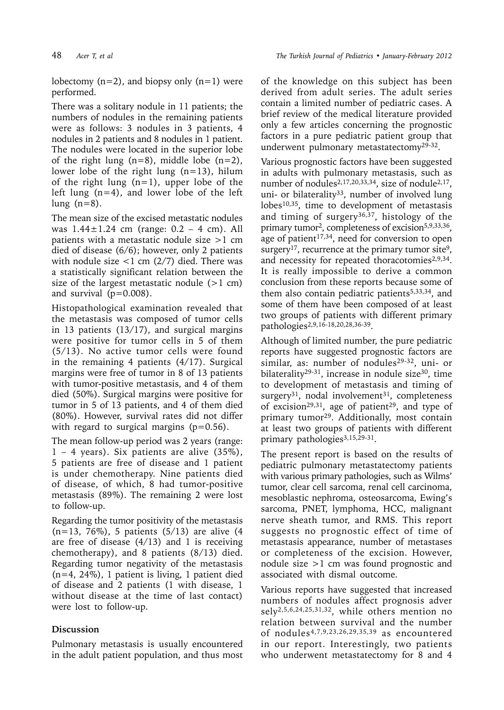lobectomy  $(n=2)$ , and biopsy only  $(n=1)$  were performed.

There was a solitary nodule in 11 patients; the numbers of nodules in the remaining patients were as follows: 3 nodules in 3 patients, 4 nodules in 2 patients and 8 nodules in 1 patient. The nodules were located in the superior lobe of the right lung  $(n=8)$ , middle lobe  $(n=2)$ , lower lobe of the right lung  $(n=13)$ , hilum of the right lung  $(n=1)$ , upper lobe of the left lung (n=4), and lower lobe of the left lung  $(n=8)$ .

The mean size of the excised metastatic nodules was  $1.44 \pm 1.24$  cm (range:  $0.2 - 4$  cm). All patients with a metastatic nodule size >1 cm died of disease (6/6); however, only 2 patients with nodule size  $<$ 1 cm (2/7) died. There was a statistically significant relation between the size of the largest metastatic nodule  $(>1$  cm) and survival  $(p=0.008)$ .

Histopathological examination revealed that the metastasis was composed of tumor cells in 13 patients (13/17), and surgical margins were positive for tumor cells in 5 of them (5/13). No active tumor cells were found in the remaining 4 patients (4/17). Surgical margins were free of tumor in 8 of 13 patients with tumor-positive metastasis, and 4 of them died (50%). Surgical margins were positive for tumor in 5 of 13 patients, and 4 of them died (80%). However, survival rates did not differ with regard to surgical margins ( $p=0.56$ ).

The mean follow-up period was 2 years (range: 1 – 4 years). Six patients are alive (35%), 5 patients are free of disease and 1 patient is under chemotherapy. Nine patients died of disease, of which, 8 had tumor-positive metastasis (89%). The remaining 2 were lost to follow-up.

Regarding the tumor positivity of the metastasis (n=13, 76%), 5 patients (5/13) are alive (4 are free of disease  $(4/13)$  and 1 is receiving chemotherapy), and 8 patients (8/13) died. Regarding tumor negativity of the metastasis (n=4, 24%), 1 patient is living, 1 patient died of disease and 2 patients (1 with disease, 1 without disease at the time of last contact) were lost to follow-up.

## **Discussion**

Pulmonary metastasis is usually encountered in the adult patient population, and thus most

of the knowledge on this subject has been derived from adult series. The adult series contain a limited number of pediatric cases. A brief review of the medical literature provided only a few articles concerning the prognostic factors in a pure pediatric patient group that underwent pulmonary metastatectomy29-32.

Various prognostic factors have been suggested in adults with pulmonary metastasis, such as number of nodules<sup>2,17,20,33,34</sup>, size of nodule<sup>2,17</sup>, uni- or bilaterality<sup>33</sup>, number of involved lung lobes10,35, time to development of metastasis and timing of surgery<sup>36,37</sup>, histology of the primary tumor<sup>2</sup>, completeness of excision<sup>5,9,33,36</sup>, age of patient<sup>17,34</sup>, need for conversion to open surgery<sup>17</sup>, recurrence at the primary tumor site<sup>9</sup>, and necessity for repeated thoracotomies<sup>2,9,34</sup>. It is really impossible to derive a common conclusion from these reports because some of them also contain pediatric patients<sup>5,33,34</sup>, and some of them have been composed of at least two groups of patients with different primary pathologies2,9,16-18,20,28,36-39.

Although of limited number, the pure pediatric reports have suggested prognostic factors are similar, as: number of nodules<sup>29-32</sup>, uni- or bilaterality<sup>29-31</sup>, increase in nodule size<sup>30</sup>, time to development of metastasis and timing of surgery<sup>31</sup>, nodal involvement<sup>31</sup>, completeness of excision<sup>29,31</sup>, age of patient<sup>29</sup>, and type of primary tumor29. Additionally, most contain at least two groups of patients with different primary pathologies<sup>3,15,29-31</sup>.

The present report is based on the results of pediatric pulmonary metastatectomy patients with various primary pathologies, such as Wilms' tumor, clear cell sarcoma, renal cell carcinoma, mesoblastic nephroma, osteosarcoma, Ewing's sarcoma, PNET, lymphoma, HCC, malignant nerve sheath tumor, and RMS. This report suggests no prognostic effect of time of metastasis appearance, number of metastases or completeness of the excision. However, nodule size >1 cm was found prognostic and associated with dismal outcome.

Various reports have suggested that increased numbers of nodules affect prognosis adver sely2,5,6,24,25,31,32, while others mention no relation between survival and the number of nodules4,7,9,23,26,29,35,39 as encountered in our report. Interestingly, two patients who underwent metastatectomy for 8 and 4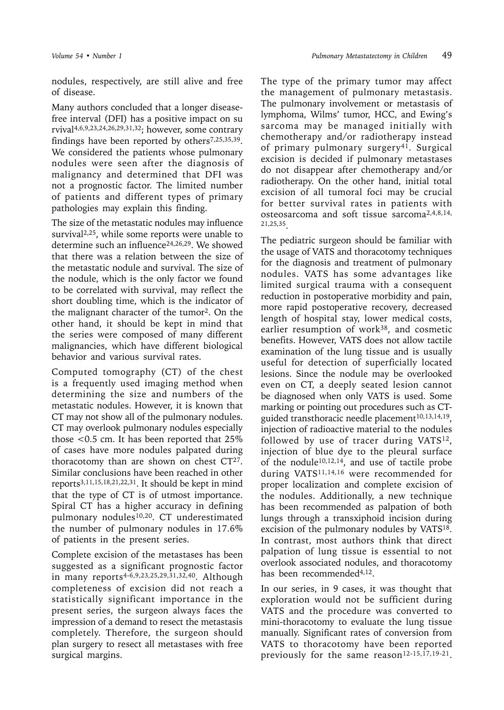nodules, respectively, are still alive and free of disease.

Many authors concluded that a longer diseasefree interval (DFI) has a positive impact on su rvival4,6,9,23,24,26,29,31,32; however, some contrary findings have been reported by others $7,25,35,39$ . We considered the patients whose pulmonary nodules were seen after the diagnosis of malignancy and determined that DFI was not a prognostic factor. The limited number of patients and different types of primary pathologies may explain this finding.

The size of the metastatic nodules may influence survival2,25, while some reports were unable to determine such an influence<sup>24,26,29</sup>. We showed that there was a relation between the size of the metastatic nodule and survival. The size of the nodule, which is the only factor we found to be correlated with survival, may reflect the short doubling time, which is the indicator of the malignant character of the tumor<sup>2</sup>. On the other hand, it should be kept in mind that the series were composed of many different malignancies, which have different biological behavior and various survival rates.

Computed tomography (CT) of the chest is a frequently used imaging method when determining the size and numbers of the metastatic nodules. However, it is known that CT may not show all of the pulmonary nodules. CT may overlook pulmonary nodules especially those <0.5 cm. It has been reported that 25% of cases have more nodules palpated during thoracotomy than are shown on chest  $CT^{27}$ . Similar conclusions have been reached in other reports3,11,15,18,21,22,31. It should be kept in mind that the type of CT is of utmost importance. Spiral CT has a higher accuracy in defining pulmonary nodules<sup>10,20</sup>. CT underestimated the number of pulmonary nodules in 17.6% of patients in the present series.

Complete excision of the metastases has been suggested as a significant prognostic factor in many reports<sup>4-6,9,23,25,29,31,32,40</sup>. Although completeness of excision did not reach a statistically significant importance in the present series, the surgeon always faces the impression of a demand to resect the metastasis completely. Therefore, the surgeon should plan surgery to resect all metastases with free surgical margins.

The type of the primary tumor may affect the management of pulmonary metastasis. The pulmonary involvement or metastasis of lymphoma, Wilms' tumor, HCC, and Ewing's sarcoma may be managed initially with chemotherapy and/or radiotherapy instead of primary pulmonary surgery41. Surgical excision is decided if pulmonary metastases do not disappear after chemotherapy and/or radiotherapy. On the other hand, initial total excision of all tumoral foci may be crucial for better survival rates in patients with osteosarcoma and soft tissue sarcoma2,4,8,14, 21,25,35.

The pediatric surgeon should be familiar with the usage of VATS and thoracotomy techniques for the diagnosis and treatment of pulmonary nodules. VATS has some advantages like limited surgical trauma with a consequent reduction in postoperative morbidity and pain, more rapid postoperative recovery, decreased length of hospital stay, lower medical costs, earlier resumption of work<sup>38</sup>, and cosmetic benefits. However, VATS does not allow tactile examination of the lung tissue and is usually useful for detection of superficially located lesions. Since the nodule may be overlooked even on CT, a deeply seated lesion cannot be diagnosed when only VATS is used. Some marking or pointing out procedures such as CTguided transthoracic needle placement<sup>10,13,14,19</sup>, injection of radioactive material to the nodules followed by use of tracer during VATS<sup>12</sup>, injection of blue dye to the pleural surface of the nodule<sup>10,12,14</sup>, and use of tactile probe during VATS11,14,16 were recommended for proper localization and complete excision of the nodules. Additionally, a new technique has been recommended as palpation of both lungs through a transxiphoid incision during excision of the pulmonary nodules by VATS<sup>18</sup>. In contrast, most authors think that direct palpation of lung tissue is essential to not overlook associated nodules, and thoracotomy has been recommended<sup>4,12</sup>.

In our series, in 9 cases, it was thought that exploration would not be sufficient during VATS and the procedure was converted to mini-thoracotomy to evaluate the lung tissue manually. Significant rates of conversion from VATS to thoracotomy have been reported previously for the same reason<sup>12-15,17,19-21</sup>.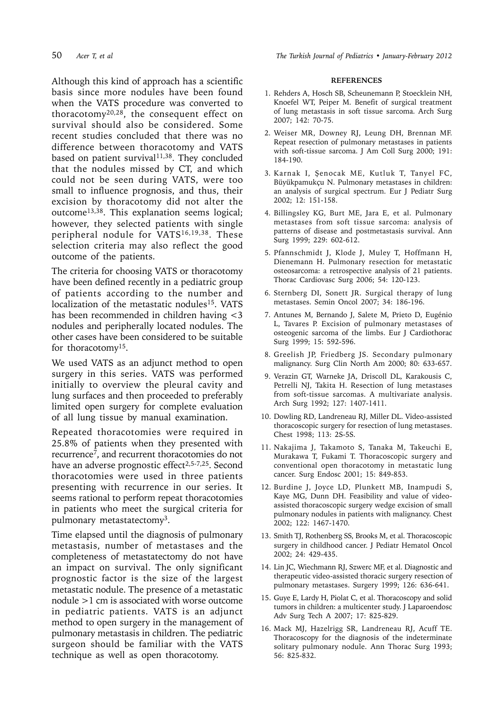Although this kind of approach has a scientific basis since more nodules have been found when the VATS procedure was converted to thoracotomy20,28, the consequent effect on survival should also be considered. Some recent studies concluded that there was no difference between thoracotomy and VATS based on patient survival<sup>11,38</sup>. They concluded that the nodules missed by CT, and which could not be seen during VATS, were too small to influence prognosis, and thus, their excision by thoracotomy did not alter the outcome<sup>13,38</sup>. This explanation seems logical; however, they selected patients with single peripheral nodule for VATS16,19,38. These selection criteria may also reflect the good outcome of the patients.

The criteria for choosing VATS or thoracotomy have been defined recently in a pediatric group of patients according to the number and localization of the metastatic nodules<sup>15</sup>. VATS has been recommended in children having <3 nodules and peripherally located nodules. The other cases have been considered to be suitable for thoracotomy15.

We used VATS as an adjunct method to open surgery in this series. VATS was performed initially to overview the pleural cavity and lung surfaces and then proceeded to preferably limited open surgery for complete evaluation of all lung tissue by manual examination.

Repeated thoracotomies were required in 25.8% of patients when they presented with recurrence7, and recurrent thoracotomies do not have an adverse prognostic effect<sup>2,5-7,25</sup>. Second thoracotomies were used in three patients presenting with recurrence in our series. It seems rational to perform repeat thoracotomies in patients who meet the surgical criteria for pulmonary metastatectomy<sup>3</sup>.

Time elapsed until the diagnosis of pulmonary metastasis, number of metastases and the completeness of metastatectomy do not have an impact on survival. The only significant prognostic factor is the size of the largest metastatic nodule. The presence of a metastatic nodule >1 cm is associated with worse outcome in pediatric patients. VATS is an adjunct method to open surgery in the management of pulmonary metastasis in children. The pediatric surgeon should be familiar with the VATS technique as well as open thoracotomy.

#### **REFERENCES**

- 1. Rehders A, Hosch SB, Scheunemann P, Stoecklein NH, Knoefel WT, Peiper M. Benefit of surgical treatment of lung metastasis in soft tissue sarcoma. Arch Surg 2007; 142: 70-75.
- 2. Weiser MR, Downey RJ, Leung DH, Brennan MF. Repeat resection of pulmonary metastases in patients with soft-tissue sarcoma. J Am Coll Surg 2000; 191: 184-190.
- 3. Karnak I, Şenocak ME, Kutluk T, Tanyel FC, Büyükpamukçu N. Pulmonary metastases in children: an analysis of surgical spectrum. Eur J Pediatr Surg 2002; 12: 151-158.
- 4. Billingsley KG, Burt ME, Jara E, et al. Pulmonary metastases from soft tissue sarcoma: analysis of patterns of disease and postmetastasis survival. Ann Surg 1999; 229: 602-612.
- 5. Pfannschmidt J, Klode J, Muley T, Hoffmann H, Dienemann H. Pulmonary resection for metastatic osteosarcoma: a retrospective analysis of 21 patients. Thorac Cardiovasc Surg 2006; 54: 120-123.
- 6. Sternberg DI, Sonett JR. Surgical therapy of lung metastases. Semin Oncol 2007; 34: 186-196.
- 7. Antunes M, Bernando J, Salete M, Prieto D, Eugénio L, Tavares P. Excision of pulmonary metastases of osteogenic sarcoma of the limbs. Eur J Cardiothorac Surg 1999; 15: 592-596.
- 8. Greelish JP, Friedberg JS. Secondary pulmonary malignancy. Surg Clin North Am 2000; 80: 633-657.
- 9. Verazin GT, Warneke JA, Driscoll DL, Karakousis C, Petrelli NJ, Takita H. Resection of lung metastases from soft-tissue sarcomas. A multivariate analysis. Arch Surg 1992; 127: 1407-1411.
- 10. Dowling RD, Landreneau RJ, Miller DL. Video-assisted thoracoscopic surgery for resection of lung metastases. Chest 1998; 113: 2S-5S.
- 11. Nakajima J, Takamoto S, Tanaka M, Takeuchi E, Murakawa T, Fukami T. Thoracoscopic surgery and conventional open thoracotomy in metastatic lung cancer. Surg Endosc 2001; 15: 849-853.
- 12. Burdine J, Joyce LD, Plunkett MB, Inampudi S, Kaye MG, Dunn DH. Feasibility and value of videoassisted thoracoscopic surgery wedge excision of small pulmonary nodules in patients with malignancy. Chest 2002; 122: 1467-1470.
- 13. Smith TJ, Rothenberg SS, Brooks M, et al. Thoracoscopic surgery in childhood cancer. J Pediatr Hematol Oncol 2002; 24: 429-435.
- 14. Lin JC, Wiechmann RJ, Szwerc MF, et al. Diagnostic and therapeutic video-assisted thoracic surgery resection of pulmonary metastases. Surgery 1999; 126: 636-641.
- 15. Guye E, Lardy H, Piolat C, et al. Thoracoscopy and solid tumors in children: a multicenter study. J Laparoendosc Adv Surg Tech A 2007; 17: 825-829.
- 16. Mack MJ, Hazelrigg SR, Landreneau RJ, Acuff TE. Thoracoscopy for the diagnosis of the indeterminate solitary pulmonary nodule. Ann Thorac Surg 1993; 56: 825-832.